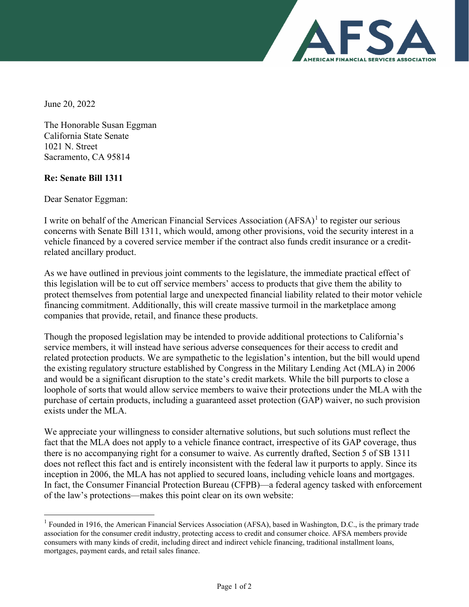

June 20, 2022

The Honorable Susan Eggman California State Senate 1021 N. Street Sacramento, CA 95814

## **Re: Senate Bill 1311**

Dear Senator Eggman:

I write on behalf of the American Financial Services Association  $(AFSA)<sup>1</sup>$  $(AFSA)<sup>1</sup>$  $(AFSA)<sup>1</sup>$  to register our serious concerns with Senate Bill 1311, which would, among other provisions, void the security interest in a vehicle financed by a covered service member if the contract also funds credit insurance or a creditrelated ancillary product.

As we have outlined in previous joint comments to the legislature, the immediate practical effect of this legislation will be to cut off service members' access to products that give them the ability to protect themselves from potential large and unexpected financial liability related to their motor vehicle financing commitment. Additionally, this will create massive turmoil in the marketplace among companies that provide, retail, and finance these products.

Though the proposed legislation may be intended to provide additional protections to California's service members, it will instead have serious adverse consequences for their access to credit and related protection products. We are sympathetic to the legislation's intention, but the bill would upend the existing regulatory structure established by Congress in the Military Lending Act (MLA) in 2006 and would be a significant disruption to the state's credit markets. While the bill purports to close a loophole of sorts that would allow service members to waive their protections under the MLA with the purchase of certain products, including a guaranteed asset protection (GAP) waiver, no such provision exists under the MLA.

We appreciate your willingness to consider alternative solutions, but such solutions must reflect the fact that the MLA does not apply to a vehicle finance contract, irrespective of its GAP coverage, thus there is no accompanying right for a consumer to waive. As currently drafted, Section 5 of SB 1311 does not reflect this fact and is entirely inconsistent with the federal law it purports to apply. Since its inception in 2006, the MLA has not applied to secured loans, including vehicle loans and mortgages. In fact, the Consumer Financial Protection Bureau (CFPB)—a federal agency tasked with enforcement of the law's protections—makes this point clear on its own website:

<span id="page-0-0"></span> $1$  Founded in 1916, the American Financial Services Association (AFSA), based in Washington, D.C., is the primary trade association for the consumer credit industry, protecting access to credit and consumer choice. AFSA members provide consumers with many kinds of credit, including direct and indirect vehicle financing, traditional installment loans, mortgages, payment cards, and retail sales finance.